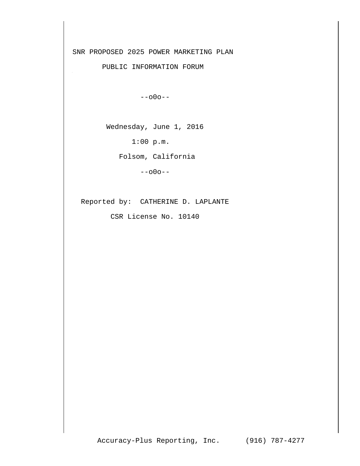SNR PROPOSED 2025 POWER MARKETING PLAN

PUBLIC INFORMATION FORUM

--o0o--

Wednesday, June 1, 2016

1:00 p.m.

Folsom, California

--o0o--

Reported by: CATHERINE D. LAPLANTE

CSR License No. 10140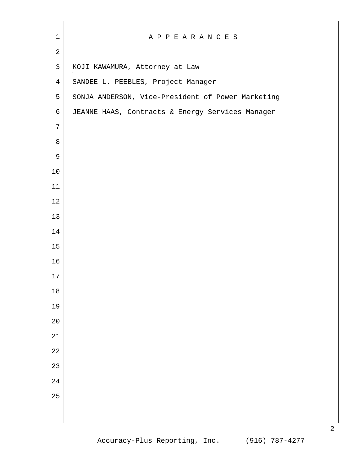| $\mathbf 1$    | A P P E A R A N C E S                             |
|----------------|---------------------------------------------------|
| $\overline{2}$ |                                                   |
| $\mathsf{3}$   | KOJI KAWAMURA, Attorney at Law                    |
| $\overline{4}$ | SANDEE L. PEEBLES, Project Manager                |
| 5              | SONJA ANDERSON, Vice-President of Power Marketing |
| 6              | JEANNE HAAS, Contracts & Energy Services Manager  |
| 7              |                                                   |
| 8              |                                                   |
| 9              |                                                   |
| 10             |                                                   |
| 11             |                                                   |
| $1\,2$         |                                                   |
| 13             |                                                   |
| 14             |                                                   |
| 15             |                                                   |
| 16             |                                                   |
| 17             |                                                   |
| $18\,$         |                                                   |
| 19             |                                                   |
| 20             |                                                   |
| 21             |                                                   |
| 22             |                                                   |
| 23             |                                                   |
| 24             |                                                   |
| 25             |                                                   |
|                |                                                   |
|                |                                                   |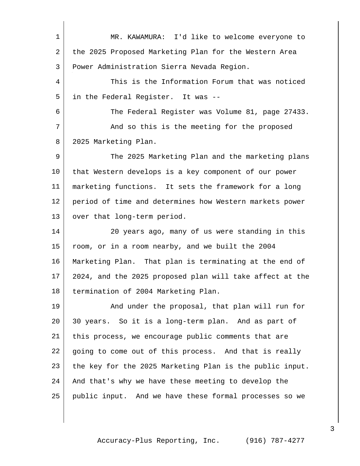MR. KAWAMURA: I'd like to welcome everyone to the 2025 Proposed Marketing Plan for the Western Area Power Administration Sierra Nevada Region. This is the Information Forum that was noticed in the Federal Register. It was -- The Federal Register was Volume 81, page 27433. 7 And so this is the meeting for the proposed 2025 Marketing Plan. The 2025 Marketing Plan and the marketing plans that Western develops is a key component of our power marketing functions. It sets the framework for a long period of time and determines how Western markets power 13 | over that long-term period. 20 years ago, many of us were standing in this room, or in a room nearby, and we built the 2004 Marketing Plan. That plan is terminating at the end of 2024, and the 2025 proposed plan will take affect at the 18 termination of 2004 Marketing Plan. 19 | And under the proposal, that plan will run for 30 years. So it is a long-term plan. And as part of this process, we encourage public comments that are going to come out of this process. And that is really the key for the 2025 Marketing Plan is the public input. 24 | And that's why we have these meeting to develop the public input. And we have these formal processes so we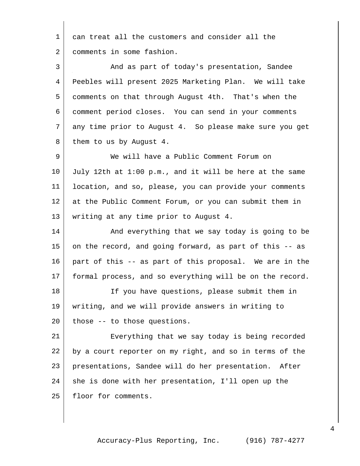| 1  | can treat all the customers and consider all the         |
|----|----------------------------------------------------------|
| 2  | comments in some fashion.                                |
| 3  | And as part of today's presentation, Sandee              |
| 4  | Peebles will present 2025 Marketing Plan. We will take   |
| 5  | comments on that through August 4th. That's when the     |
| 6  | comment period closes. You can send in your comments     |
| 7  | any time prior to August 4. So please make sure you get  |
| 8  | them to us by August 4.                                  |
| 9  | We will have a Public Comment Forum on                   |
| 10 | July 12th at 1:00 p.m., and it will be here at the same  |
| 11 | location, and so, please, you can provide your comments  |
| 12 | at the Public Comment Forum, or you can submit them in   |
| 13 | writing at any time prior to August 4.                   |
| 14 | And everything that we say today is going to be          |
| 15 | on the record, and going forward, as part of this -- as  |
| 16 | part of this -- as part of this proposal. We are in the  |
| 17 | formal process, and so everything will be on the record. |
| 18 | If you have questions, please submit them in             |
| 19 | writing, and we will provide answers in writing to       |
| 20 | those -- to those questions.                             |
| 21 | Everything that we say today is being recorded           |
| 22 | by a court reporter on my right, and so in terms of the  |
| 23 | presentations, Sandee will do her presentation.<br>After |
| 24 | she is done with her presentation, I'll open up the      |
| 25 | floor for comments.                                      |
|    |                                                          |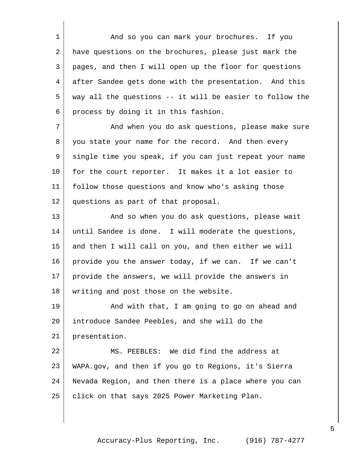1 And so you can mark your brochures. If you have questions on the brochures, please just mark the pages, and then I will open up the floor for questions after Sandee gets done with the presentation. And this way all the questions -- it will be easier to follow the process by doing it in this fashion.

7 And when you do ask questions, please make sure you state your name for the record. And then every single time you speak, if you can just repeat your name 10 | for the court reporter. It makes it a lot easier to follow those questions and know who's asking those questions as part of that proposal.

13 | The Movies when you do ask questions, please wait until Sandee is done. I will moderate the questions, and then I will call on you, and then either we will 16 provide you the answer today, if we can. If we can't provide the answers, we will provide the answers in 18 writing and post those on the website.

19 And with that, I am going to go on ahead and introduce Sandee Peebles, and she will do the presentation.

 MS. PEEBLES: We did find the address at WAPA.gov, and then if you go to Regions, it's Sierra Nevada Region, and then there is a place where you can 25 | click on that says 2025 Power Marketing Plan.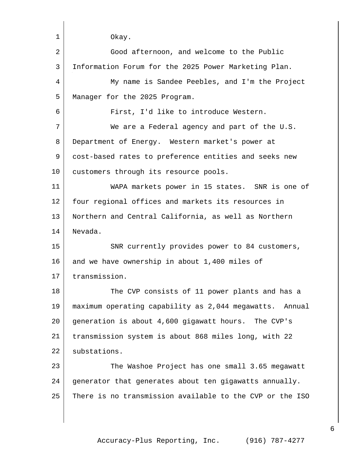| $\mathbf{1}$ | Okay.                                                    |
|--------------|----------------------------------------------------------|
| 2            | Good afternoon, and welcome to the Public                |
| 3            | Information Forum for the 2025 Power Marketing Plan.     |
| 4            | My name is Sandee Peebles, and I'm the Project           |
| 5            | Manager for the 2025 Program.                            |
| 6            | First, I'd like to introduce Western.                    |
| 7            | We are a Federal agency and part of the U.S.             |
| 8            | Department of Energy. Western market's power at          |
| 9            | cost-based rates to preference entities and seeks new    |
| 10           | customers through its resource pools.                    |
| 11           | WAPA markets power in 15 states. SNR is one of           |
| 12           | four regional offices and markets its resources in       |
| 13           | Northern and Central California, as well as Northern     |
| 14           | Nevada.                                                  |
| 15           | SNR currently provides power to 84 customers,            |
| 16           | and we have ownership in about 1,400 miles of            |
| 17           | transmission.                                            |
| 18           | The CVP consists of 11 power plants and has a            |
| 19           | maximum operating capability as 2,044 megawatts. Annual  |
| 20           | generation is about 4,600 gigawatt hours. The CVP's      |
| 21           | transmission system is about 868 miles long, with 22     |
| 22           | substations.                                             |
| 23           | The Washoe Project has one small 3.65 megawatt           |
| 24           | generator that generates about ten gigawatts annually.   |
| 25           | There is no transmission available to the CVP or the ISO |
|              |                                                          |
|              |                                                          |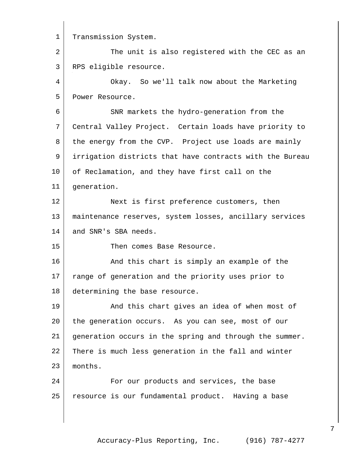1 Transmission System. 2 The unit is also registered with the CEC as an RPS eligible resource. Okay. So we'll talk now about the Marketing Power Resource. SNR markets the hydro-generation from the Central Valley Project. Certain loads have priority to 8 the energy from the CVP. Project use loads are mainly irrigation districts that have contracts with the Bureau 10 of Reclamation, and they have first call on the generation. 12 Next is first preference customers, then maintenance reserves, system losses, ancillary services 14 and SNR's SBA needs. Then comes Base Resource. 16 And this chart is simply an example of the range of generation and the priority uses prior to determining the base resource. 19 | And this chart gives an idea of when most of the generation occurs. As you can see, most of our generation occurs in the spring and through the summer. There is much less generation in the fall and winter 23 months. **For our products and services, the base** resource is our fundamental product. Having a base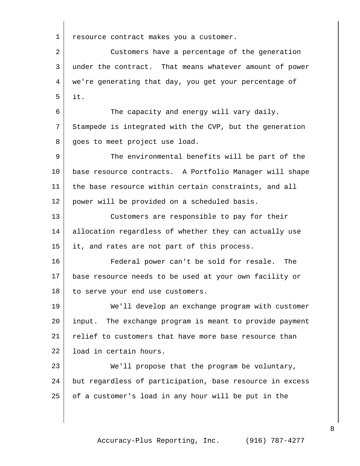1 | resource contract makes you a customer. Customers have a percentage of the generation under the contract. That means whatever amount of power we're generating that day, you get your percentage of it. The capacity and energy will vary daily. Stampede is integrated with the CVP, but the generation 8 goes to meet project use load. The environmental benefits will be part of the base resource contracts. A Portfolio Manager will shape the base resource within certain constraints, and all power will be provided on a scheduled basis. Customers are responsible to pay for their allocation regardless of whether they can actually use 15 it, and rates are not part of this process. Federal power can't be sold for resale. The base resource needs to be used at your own facility or 18 to serve your end use customers. We'll develop an exchange program with customer input. The exchange program is meant to provide payment relief to customers that have more base resource than load in certain hours. 23 We'll propose that the program be voluntary, but regardless of participation, base resource in excess of a customer's load in any hour will be put in the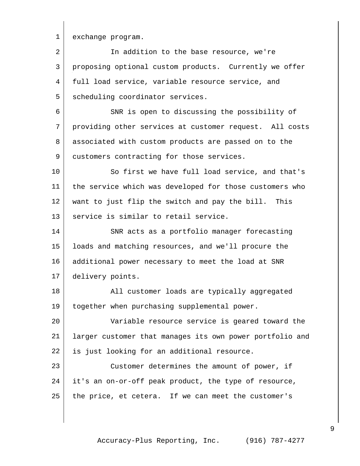1 exchange program.

| 2  | In addition to the base resource, we're                  |
|----|----------------------------------------------------------|
| 3  | proposing optional custom products. Currently we offer   |
| 4  | full load service, variable resource service, and        |
| 5  | scheduling coordinator services.                         |
| 6  | SNR is open to discussing the possibility of             |
| 7  | providing other services at customer request. All costs  |
| 8  | associated with custom products are passed on to the     |
| 9  | customers contracting for those services.                |
| 10 | So first we have full load service, and that's           |
| 11 | the service which was developed for those customers who  |
| 12 | want to just flip the switch and pay the bill. This      |
| 13 | service is similar to retail service.                    |
| 14 | SNR acts as a portfolio manager forecasting              |
| 15 | loads and matching resources, and we'll procure the      |
| 16 | additional power necessary to meet the load at SNR       |
| 17 | delivery points.                                         |
| 18 | All customer loads are typically aggregated              |
| 19 | together when purchasing supplemental power.             |
| 20 | Variable resource service is geared toward the           |
| 21 | larger customer that manages its own power portfolio and |
| 22 | is just looking for an additional resource.              |
| 23 | Customer determines the amount of power, if              |
| 24 | it's an on-or-off peak product, the type of resource,    |
| 25 | the price, et cetera. If we can meet the customer's      |

Accuracy-Plus Reporting, Inc. (916) 787-4277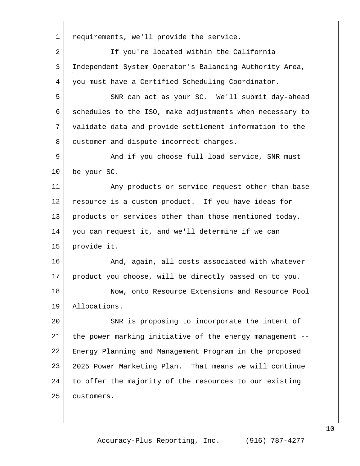| 1  | requirements, we'll provide the service.                 |
|----|----------------------------------------------------------|
| 2  | If you're located within the California                  |
| 3  | Independent System Operator's Balancing Authority Area,  |
| 4  | you must have a Certified Scheduling Coordinator.        |
| 5  | SNR can act as your SC. We'll submit day-ahead           |
| 6  | schedules to the ISO, make adjustments when necessary to |
| 7  | validate data and provide settlement information to the  |
| 8  | customer and dispute incorrect charges.                  |
| 9  | And if you choose full load service, SNR must            |
| 10 | be your SC.                                              |
| 11 | Any products or service request other than base          |
| 12 | resource is a custom product. If you have ideas for      |
| 13 | products or services other than those mentioned today,   |
| 14 | you can request it, and we'll determine if we can        |
| 15 | provide it.                                              |
| 16 | And, again, all costs associated with whatever           |
| 17 | product you choose, will be directly passed on to you.   |
| 18 | Now, onto Resource Extensions and Resource Pool          |
| 19 | Allocations.                                             |
| 20 | SNR is proposing to incorporate the intent of            |
| 21 | the power marking initiative of the energy management -- |
| 22 | Energy Planning and Management Program in the proposed   |
| 23 | 2025 Power Marketing Plan. That means we will continue   |
| 24 | to offer the majority of the resources to our existing   |
| 25 | customers.                                               |
|    |                                                          |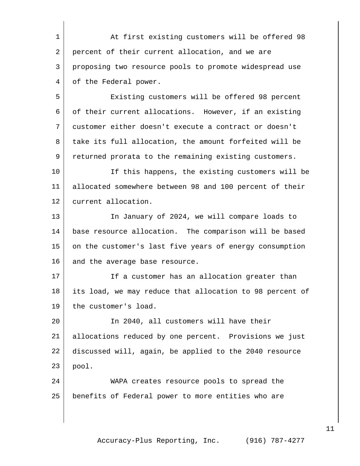1 At first existing customers will be offered 98 2 percent of their current allocation, and we are proposing two resource pools to promote widespread use 4 of the Federal power.

 Existing customers will be offered 98 percent of their current allocations. However, if an existing customer either doesn't execute a contract or doesn't 8 take its full allocation, the amount forfeited will be returned prorata to the remaining existing customers.

 If this happens, the existing customers will be allocated somewhere between 98 and 100 percent of their current allocation.

13 In January of 2024, we will compare loads to base resource allocation. The comparison will be based 15 on the customer's last five years of energy consumption 16 and the average base resource.

17 If a customer has an allocation greater than its load, we may reduce that allocation to 98 percent of 19 the customer's load.

 In 2040, all customers will have their allocations reduced by one percent. Provisions we just discussed will, again, be applied to the 2040 resource pool.

 WAPA creates resource pools to spread the benefits of Federal power to more entities who are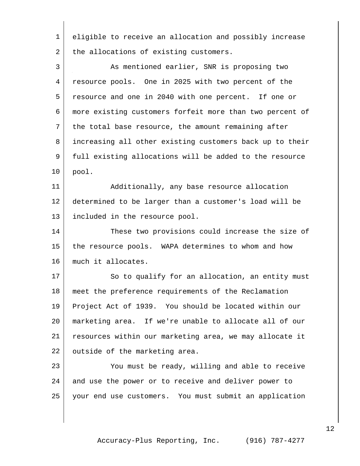eligible to receive an allocation and possibly increase 2 the allocations of existing customers.

3 As mentioned earlier, SNR is proposing two resource pools. One in 2025 with two percent of the resource and one in 2040 with one percent. If one or more existing customers forfeit more than two percent of 7 the total base resource, the amount remaining after increasing all other existing customers back up to their full existing allocations will be added to the resource pool.

11 Additionally, any base resource allocation determined to be larger than a customer's load will be included in the resource pool.

14 These two provisions could increase the size of the resource pools. WAPA determines to whom and how much it allocates.

17 So to qualify for an allocation, an entity must meet the preference requirements of the Reclamation Project Act of 1939. You should be located within our marketing area. If we're unable to allocate all of our resources within our marketing area, we may allocate it 22 outside of the marketing area.

 You must be ready, willing and able to receive 24 and use the power or to receive and deliver power to your end use customers. You must submit an application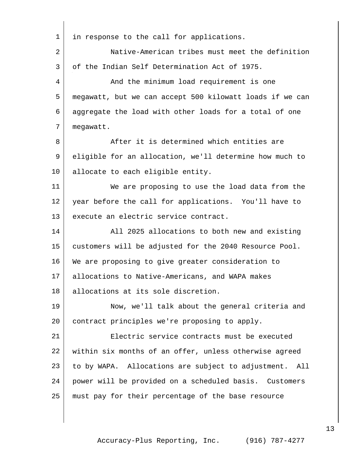| 1              | in response to the call for applications.                 |
|----------------|-----------------------------------------------------------|
| $\overline{a}$ | Native-American tribes must meet the definition           |
| 3              | of the Indian Self Determination Act of 1975.             |
| 4              | And the minimum load requirement is one                   |
| 5              | megawatt, but we can accept 500 kilowatt loads if we can  |
| 6              | aggregate the load with other loads for a total of one    |
| 7              | megawatt.                                                 |
| 8              | After it is determined which entities are                 |
| 9              | eligible for an allocation, we'll determine how much to   |
| 10             | allocate to each eligible entity.                         |
| 11             | We are proposing to use the load data from the            |
| 12             | year before the call for applications. You'll have to     |
| 13             | execute an electric service contract.                     |
| 14             | All 2025 allocations to both new and existing             |
| 15             | customers will be adjusted for the 2040 Resource Pool.    |
| 16             | We are proposing to give greater consideration to         |
| 17             | allocations to Native-Americans, and WAPA makes           |
| 18             | allocations at its sole discretion.                       |
| 19             | Now, we'll talk about the general criteria and            |
| 20             | contract principles we're proposing to apply.             |
| 21             | Electric service contracts must be executed               |
| 22             | within six months of an offer, unless otherwise agreed    |
| 23             | to by WAPA. Allocations are subject to adjustment.<br>All |
| 24             | power will be provided on a scheduled basis. Customers    |
| 25             | must pay for their percentage of the base resource        |
|                |                                                           |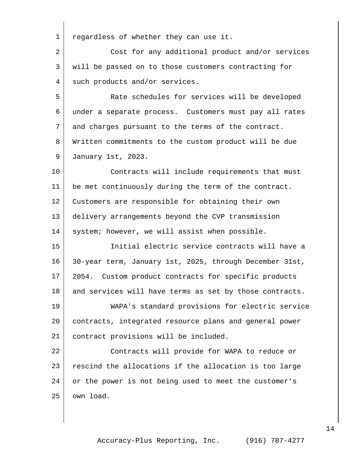regardless of whether they can use it.

2 Cost for any additional product and/or services will be passed on to those customers contracting for 4 such products and/or services.

 Rate schedules for services will be developed under a separate process. Customers must pay all rates 7 and charges pursuant to the terms of the contract. Written commitments to the custom product will be due January 1st, 2023.

10 Contracts will include requirements that must be met continuously during the term of the contract. Customers are responsible for obtaining their own delivery arrangements beyond the CVP transmission 14 | system; however, we will assist when possible.

 Initial electric service contracts will have a 30-year term, January 1st, 2025, through December 31st, 2054. Custom product contracts for specific products 18 and services will have terms as set by those contracts.

 WAPA's standard provisions for electric service contracts, integrated resource plans and general power contract provisions will be included.

 Contracts will provide for WAPA to reduce or rescind the allocations if the allocation is too large or the power is not being used to meet the customer's own load.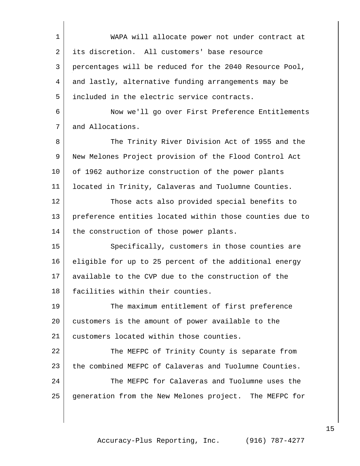| $\mathbf 1$ | WAPA will allocate power not under contract at           |
|-------------|----------------------------------------------------------|
| 2           | its discretion. All customers' base resource             |
| 3           | percentages will be reduced for the 2040 Resource Pool,  |
| 4           | and lastly, alternative funding arrangements may be      |
| 5           | included in the electric service contracts.              |
| 6           | Now we'll go over First Preference Entitlements          |
| 7           | and Allocations.                                         |
| 8           | The Trinity River Division Act of 1955 and the           |
| 9           | New Melones Project provision of the Flood Control Act   |
| 10          | of 1962 authorize construction of the power plants       |
| 11          | located in Trinity, Calaveras and Tuolumne Counties.     |
| 12          | Those acts also provided special benefits to             |
| 13          | preference entities located within those counties due to |
| 14          | the construction of those power plants.                  |
| 15          | Specifically, customers in those counties are            |
| 16          | eligible for up to 25 percent of the additional energy   |
| 17          | available to the CVP due to the construction of the      |
| 18          | facilities within their counties.                        |
| 19          | The maximum entitlement of first preference              |
| 20          | customers is the amount of power available to the        |
| 21          | customers located within those counties.                 |
| 22          | The MEFPC of Trinity County is separate from             |
| 23          | the combined MEFPC of Calaveras and Tuolumne Counties.   |
| 24          | The MEFPC for Calaveras and Tuolumne uses the            |
| 25          | generation from the New Melones project. The MEFPC for   |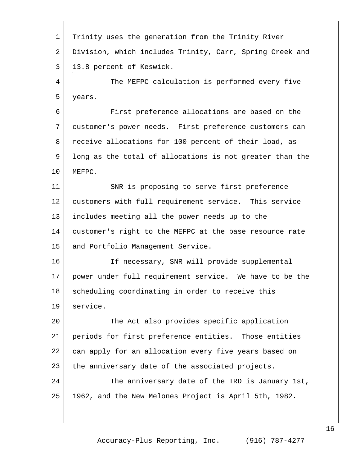Trinity uses the generation from the Trinity River Division, which includes Trinity, Carr, Spring Creek and 13.8 percent of Keswick. The MEFPC calculation is performed every five years. First preference allocations are based on the customer's power needs. First preference customers can receive allocations for 100 percent of their load, as long as the total of allocations is not greater than the MEFPC. 11 SNR is proposing to serve first-preference customers with full requirement service. This service includes meeting all the power needs up to the customer's right to the MEFPC at the base resource rate 15 and Portfolio Management Service. 16 | The Interessary, SNR will provide supplemental power under full requirement service. We have to be the 18 scheduling coordinating in order to receive this service. The Act also provides specific application periods for first preference entities. Those entities 22 | can apply for an allocation every five years based on 23 the anniversary date of the associated projects. 24 The anniversary date of the TRD is January 1st, 1962, and the New Melones Project is April 5th, 1982.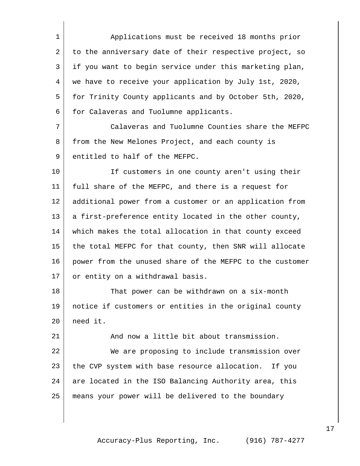Applications must be received 18 months prior 2 to the anniversary date of their respective project, so if you want to begin service under this marketing plan, we have to receive your application by July 1st, 2020, for Trinity County applicants and by October 5th, 2020, 6 for Calaveras and Tuolumne applicants.

 Calaveras and Tuolumne Counties share the MEFPC 8 from the New Melones Project, and each county is 9 entitled to half of the MEFPC.

10 | The Customers in one county aren't using their full share of the MEFPC, and there is a request for additional power from a customer or an application from 13 a first-preference entity located in the other county, which makes the total allocation in that county exceed the total MEFPC for that county, then SNR will allocate power from the unused share of the MEFPC to the customer 17 or entity on a withdrawal basis.

18 That power can be withdrawn on a six-month notice if customers or entities in the original county need it.

 And now a little bit about transmission. We are proposing to include transmission over the CVP system with base resource allocation. If you 24 are located in the ISO Balancing Authority area, this means your power will be delivered to the boundary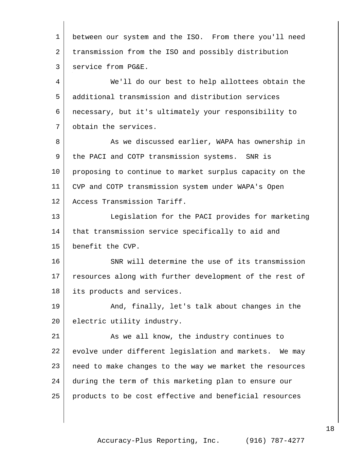| $\mathbf{1}$ | between our system and the ISO. From there you'll need  |
|--------------|---------------------------------------------------------|
| 2            | transmission from the ISO and possibly distribution     |
| 3            | service from PG&E.                                      |
| 4            | We'll do our best to help allottees obtain the          |
| 5            | additional transmission and distribution services       |
| 6            | necessary, but it's ultimately your responsibility to   |
| 7            | obtain the services.                                    |
| 8            | As we discussed earlier, WAPA has ownership in          |
| 9            | the PACI and COTP transmission systems. SNR is          |
| 10           | proposing to continue to market surplus capacity on the |
| 11           | CVP and COTP transmission system under WAPA's Open      |
| 12           | Access Transmission Tariff.                             |
| 13           | Legislation for the PACI provides for marketing         |
| 14           | that transmission service specifically to aid and       |
| 15           | benefit the CVP.                                        |
| 16           | SNR will determine the use of its transmission          |
| 17           | resources along with further development of the rest of |
| 18           | its products and services.                              |
| 19           | And, finally, let's talk about changes in the           |
| 20           | electric utility industry.                              |
| 21           | As we all know, the industry continues to               |
| 22           | evolve under different legislation and markets. We may  |
| 23           | need to make changes to the way we market the resources |
| 24           | during the term of this marketing plan to ensure our    |
| 25           | products to be cost effective and beneficial resources  |
|              |                                                         |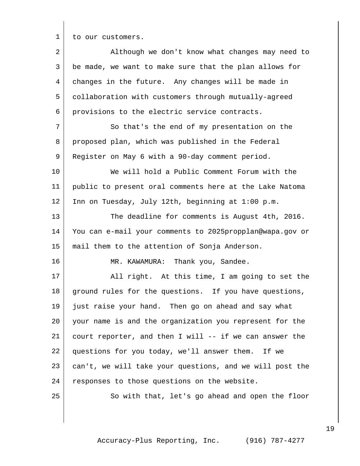1 to our customers.

2 Although we don't know what changes may need to be made, we want to make sure that the plan allows for changes in the future. Any changes will be made in collaboration with customers through mutually-agreed provisions to the electric service contracts. 7 So that's the end of my presentation on the proposed plan, which was published in the Federal 9 Register on May 6 with a 90-day comment period. We will hold a Public Comment Forum with the public to present oral comments here at the Lake Natoma Inn on Tuesday, July 12th, beginning at 1:00 p.m. 13 The deadline for comments is August 4th, 2016. You can e-mail your comments to 2025propplan@wapa.gov or mail them to the attention of Sonja Anderson. 16 MR. KAWAMURA: Thank you, Sandee. 17 | All right. At this time, I am going to set the 18 ground rules for the questions. If you have questions, just raise your hand. Then go on ahead and say what your name is and the organization you represent for the court reporter, and then I will -- if we can answer the questions for you today, we'll answer them. If we can't, we will take your questions, and we will post the 24 responses to those questions on the website. 25 So with that, let's go ahead and open the floor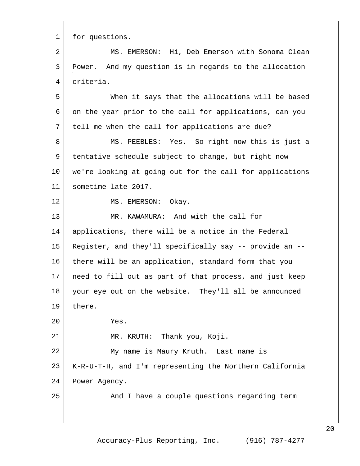1 for questions.

 MS. EMERSON: Hi, Deb Emerson with Sonoma Clean Power. And my question is in regards to the allocation criteria.

 When it says that the allocations will be based on the year prior to the call for applications, can you 7 tell me when the call for applications are due?

8 MS. PEEBLES: Yes. So right now this is just a tentative schedule subject to change, but right now we're looking at going out for the call for applications sometime late 2017.

12 MS. EMERSON: Okay.

13 MR. KAWAMURA: And with the call for applications, there will be a notice in the Federal Register, and they'll specifically say -- provide an -- 16 there will be an application, standard form that you need to fill out as part of that process, and just keep your eye out on the website. They'll all be announced 19 | there. Yes. 21 MR. KRUTH: Thank you, Koji. My name is Maury Kruth. Last name is K-R-U-T-H, and I'm representing the Northern California Power Agency. 25 And I have a couple questions regarding term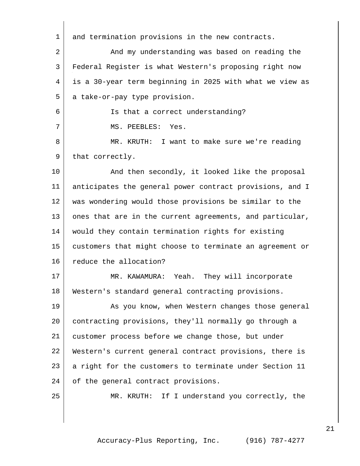| 1  | and termination provisions in the new contracts.         |
|----|----------------------------------------------------------|
| 2  | And my understanding was based on reading the            |
| 3  | Federal Register is what Western's proposing right now   |
| 4  | is a 30-year term beginning in 2025 with what we view as |
| 5  | a take-or-pay type provision.                            |
| 6  | Is that a correct understanding?                         |
| 7  | MS. PEEBLES: Yes.                                        |
| 8  | MR. KRUTH: I want to make sure we're reading             |
| 9  | that correctly.                                          |
| 10 | And then secondly, it looked like the proposal           |
| 11 | anticipates the general power contract provisions, and I |
| 12 | was wondering would those provisions be similar to the   |
| 13 | ones that are in the current agreements, and particular, |
| 14 | would they contain termination rights for existing       |
| 15 | customers that might choose to terminate an agreement or |
| 16 | reduce the allocation?                                   |
| 17 | MR. KAWAMURA: Yeah. They will incorporate                |
| 18 | Western's standard general contracting provisions.       |
| 19 | As you know, when Western changes those general          |
| 20 | contracting provisions, they'll normally go through a    |
| 21 | customer process before we change those, but under       |
| 22 | Western's current general contract provisions, there is  |
| 23 | a right for the customers to terminate under Section 11  |
| 24 | of the general contract provisions.                      |
| 25 | MR. KRUTH: If I understand you correctly, the            |
|    |                                                          |
|    |                                                          |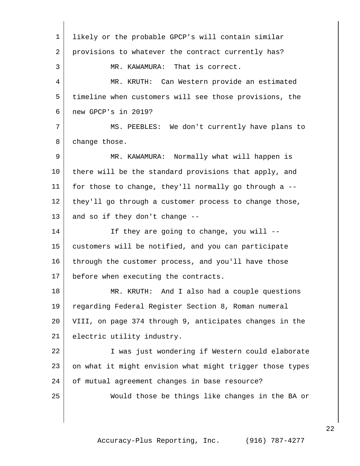| $\mathbf 1$    | likely or the probable GPCP's will contain similar       |
|----------------|----------------------------------------------------------|
| $\overline{a}$ | provisions to whatever the contract currently has?       |
| 3              | MR. KAWAMURA: That is correct.                           |
| 4              | MR. KRUTH: Can Western provide an estimated              |
| 5              | timeline when customers will see those provisions, the   |
| 6              | new GPCP's in 2019?                                      |
| 7              | MS. PEEBLES: We don't currently have plans to            |
| 8              | change those.                                            |
| 9              | MR. KAWAMURA: Normally what will happen is               |
| 10             | there will be the standard provisions that apply, and    |
| 11             | for those to change, they'll normally go through a --    |
| 12             | they'll go through a customer process to change those,   |
| 13             | and so if they don't change --                           |
| 14             | If they are going to change, you will --                 |
| 15             | customers will be notified, and you can participate      |
| 16             | through the customer process, and you'll have those      |
| 17             | before when executing the contracts.                     |
| 18             | MR. KRUTH: And I also had a couple questions             |
| 19             | regarding Federal Register Section 8, Roman numeral      |
| 20             | VIII, on page 374 through 9, anticipates changes in the  |
| 21             | electric utility industry.                               |
| 22             | I was just wondering if Western could elaborate          |
| 23             | on what it might envision what might trigger those types |
| 24             | of mutual agreement changes in base resource?            |
| 25             | Would those be things like changes in the BA or          |
|                |                                                          |
|                |                                                          |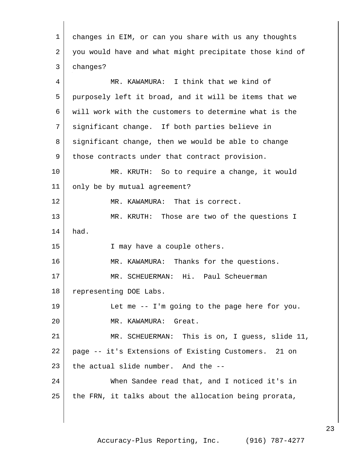| 1  | changes in EIM, or can you share with us any thoughts   |
|----|---------------------------------------------------------|
| 2  | you would have and what might precipitate those kind of |
| 3  | changes?                                                |
| 4  | MR. KAWAMURA: I think that we kind of                   |
| 5  | purposely left it broad, and it will be items that we   |
| 6  | will work with the customers to determine what is the   |
| 7  | significant change. If both parties believe in          |
| 8  | significant change, then we would be able to change     |
| 9  | those contracts under that contract provision.          |
| 10 | MR. KRUTH: So to require a change, it would             |
| 11 | only be by mutual agreement?                            |
| 12 | MR. KAWAMURA: That is correct.                          |
| 13 | MR. KRUTH: Those are two of the questions I             |
| 14 | had.                                                    |
| 15 | I may have a couple others.                             |
| 16 | MR. KAWAMURA: Thanks for the questions.                 |
| 17 | MR. SCHEUERMAN: Hi. Paul Scheuerman                     |
| 18 | representing DOE Labs.                                  |
| 19 | Let me -- I'm going to the page here for you.           |
| 20 | MR. KAWAMURA:<br>Great.                                 |
| 21 | MR. SCHEUERMAN: This is on, I guess, slide 11,          |
| 22 | page -- it's Extensions of Existing Customers. 21 on    |
| 23 | the actual slide number. And the --                     |
| 24 | When Sandee read that, and I noticed it's in            |
| 25 | the FRN, it talks about the allocation being prorata,   |
|    |                                                         |

 $\overline{1}$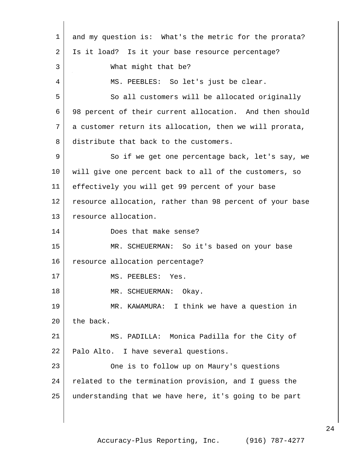| $\mathbf{1}$ | and my question is: What's the metric for the prorata?   |
|--------------|----------------------------------------------------------|
| 2            | Is it load? Is it your base resource percentage?         |
| 3            | What might that be?                                      |
| 4            | MS. PEEBLES: So let's just be clear.                     |
| 5            | So all customers will be allocated originally            |
| 6            | 98 percent of their current allocation. And then should  |
| 7            | a customer return its allocation, then we will prorata,  |
| 8            | distribute that back to the customers.                   |
| 9            | So if we get one percentage back, let's say, we          |
| 10           | will give one percent back to all of the customers, so   |
| 11           | effectively you will get 99 percent of your base         |
| 12           | resource allocation, rather than 98 percent of your base |
| 13           | resource allocation.                                     |
| 14           | Does that make sense?                                    |
| 15           | MR. SCHEUERMAN: So it's based on your base               |
| 16           | resource allocation percentage?                          |
| 17           | MS. PEEBLES: Yes.                                        |
| 18           | MR. SCHEUERMAN: Okay.                                    |
| 19           | MR. KAWAMURA: I think we have a question in              |
| 20           | the back.                                                |
| 21           | MS. PADILLA: Monica Padilla for the City of              |
| 22           | Palo Alto. I have several questions.                     |
| 23           | One is to follow up on Maury's questions                 |
| 24           | related to the termination provision, and I guess the    |
| 25           | understanding that we have here, it's going to be part   |
|              |                                                          |
|              |                                                          |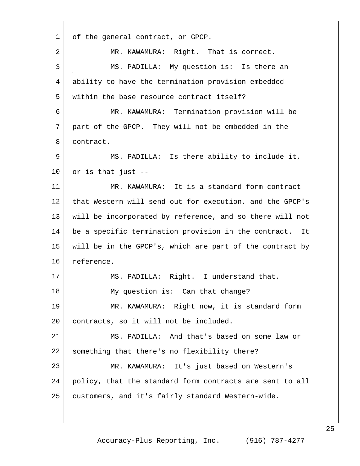| 1  | of the general contract, or GPCP.                        |
|----|----------------------------------------------------------|
| 2  | MR. KAWAMURA: Right. That is correct.                    |
| 3  | MS. PADILLA: My question is: Is there an                 |
| 4  | ability to have the termination provision embedded       |
| 5  | within the base resource contract itself?                |
| 6  | MR. KAWAMURA: Termination provision will be              |
| 7  | part of the GPCP. They will not be embedded in the       |
| 8  | contract.                                                |
| 9  | MS. PADILLA: Is there ability to include it,             |
| 10 | or is that just --                                       |
| 11 | MR. KAWAMURA: It is a standard form contract             |
| 12 | that Western will send out for execution, and the GPCP's |
| 13 | will be incorporated by reference, and so there will not |
| 14 | be a specific termination provision in the contract. It  |
| 15 | will be in the GPCP's, which are part of the contract by |
| 16 | reference.                                               |
| 17 | MS. PADILLA: Right. I understand that.                   |
| 18 | My question is: Can that change?                         |
| 19 | MR. KAWAMURA: Right now, it is standard form             |
| 20 | contracts, so it will not be included.                   |
| 21 | MS. PADILLA: And that's based on some law or             |
| 22 | something that there's no flexibility there?             |
| 23 | MR. KAWAMURA: It's just based on Western's               |
| 24 | policy, that the standard form contracts are sent to all |
| 25 | customers, and it's fairly standard Western-wide.        |
|    |                                                          |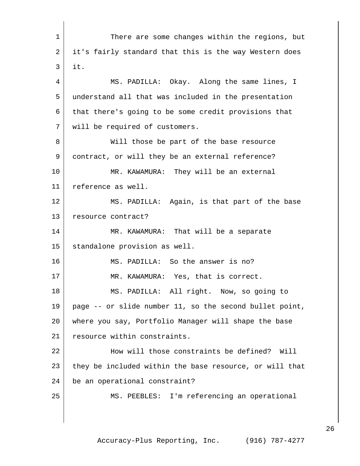1 There are some changes within the regions, but 2 | it's fairly standard that this is the way Western does it. MS. PADILLA: Okay. Along the same lines, I understand all that was included in the presentation that there's going to be some credit provisions that will be required of customers. 8 | Will those be part of the base resource contract, or will they be an external reference? MR. KAWAMURA: They will be an external reference as well. MS. PADILLA: Again, is that part of the base 13 resource contract? MR. KAWAMURA: That will be a separate standalone provision as well. MS. PADILLA: So the answer is no? 17 | MR. KAWAMURA: Yes, that is correct. MS. PADILLA: All right. Now, so going to page -- or slide number 11, so the second bullet point, where you say, Portfolio Manager will shape the base 21 resource within constraints. 22 | How will those constraints be defined? Will 23 they be included within the base resource, or will that 24 be an operational constraint? MS. PEEBLES: I'm referencing an operational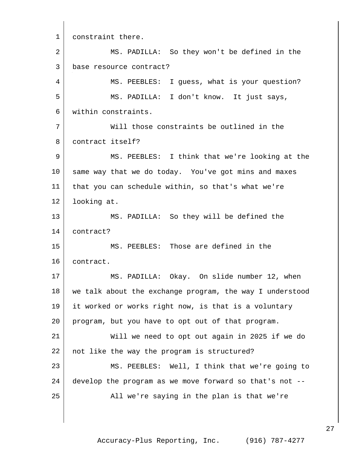1 constraint there. MS. PADILLA: So they won't be defined in the base resource contract? MS. PEEBLES: I guess, what is your question? MS. PADILLA: I don't know. It just says, within constraints. Will those constraints be outlined in the contract itself? MS. PEEBLES: I think that we're looking at the same way that we do today. You've got mins and maxes that you can schedule within, so that's what we're looking at. MS. PADILLA: So they will be defined the contract? MS. PEEBLES: Those are defined in the contract. MS. PADILLA: Okay. On slide number 12, when 18 | we talk about the exchange program, the way I understood it worked or works right now, is that is a voluntary program, but you have to opt out of that program. Will we need to opt out again in 2025 if we do 22 | not like the way the program is structured? MS. PEEBLES: Well, I think that we're going to develop the program as we move forward so that's not -- All we're saying in the plan is that we're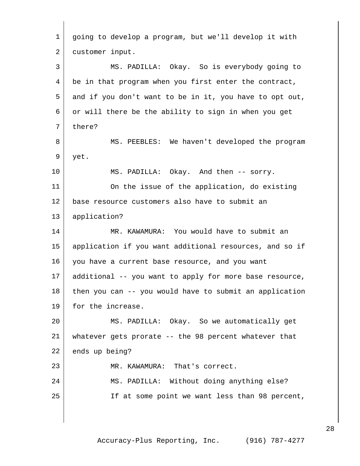| $\mathbf 1$    | going to develop a program, but we'll develop it with   |
|----------------|---------------------------------------------------------|
| $\overline{a}$ | customer input.                                         |
| 3              | MS. PADILLA: Okay. So is everybody going to             |
| 4              | be in that program when you first enter the contract,   |
| 5              | and if you don't want to be in it, you have to opt out, |
| 6              | or will there be the ability to sign in when you get    |
| 7              | there?                                                  |
| 8              | MS. PEEBLES: We haven't developed the program           |
| 9              | yet.                                                    |
| 10             | MS. PADILLA: Okay. And then -- sorry.                   |
| 11             | On the issue of the application, do existing            |
| 12             | base resource customers also have to submit an          |
| 13             | application?                                            |
| 14             | MR. KAWAMURA: You would have to submit an               |
| 15             | application if you want additional resources, and so if |
| 16             | you have a current base resource, and you want          |
| 17             | additional -- you want to apply for more base resource, |
| 18             | then you can -- you would have to submit an application |
| 19             | for the increase.                                       |
| 20             | MS. PADILLA: Okay. So we automatically get              |
| 21             | whatever gets prorate -- the 98 percent whatever that   |
| 22             | ends up being?                                          |
| 23             | MR. KAWAMURA: That's correct.                           |
| 24             | MS. PADILLA: Without doing anything else?               |
| 25             | If at some point we want less than 98 percent,          |
|                |                                                         |
|                |                                                         |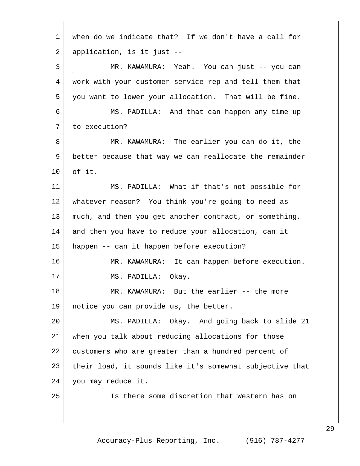| $\mathbf{1}$ | when do we indicate that? If we don't have a call for    |
|--------------|----------------------------------------------------------|
| 2            | application, is it just --                               |
| 3            | MR. KAWAMURA: Yeah. You can just -- you can              |
| 4            | work with your customer service rep and tell them that   |
| 5            | you want to lower your allocation. That will be fine.    |
| 6            | MS. PADILLA: And that can happen any time up             |
| 7            | to execution?                                            |
| 8            | MR. KAWAMURA: The earlier you can do it, the             |
| 9            | better because that way we can reallocate the remainder  |
| 10           | of it.                                                   |
| 11           | MS. PADILLA: What if that's not possible for             |
| 12           | whatever reason? You think you're going to need as       |
| 13           | much, and then you get another contract, or something,   |
| 14           | and then you have to reduce your allocation, can it      |
| 15           | happen -- can it happen before execution?                |
| 16           | MR. KAWAMURA: It can happen before execution.            |
| 17           | MS. PADILLA: Okay.                                       |
| 18           | MR. KAWAMURA: But the earlier -- the more                |
| 19           | notice you can provide us, the better.                   |
| 20           | MS. PADILLA: Okay. And going back to slide 21            |
| 21           | when you talk about reducing allocations for those       |
| 22           | customers who are greater than a hundred percent of      |
| 23           | their load, it sounds like it's somewhat subjective that |
| 24           | you may reduce it.                                       |
| 25           | Is there some discretion that Western has on             |
|              |                                                          |
|              |                                                          |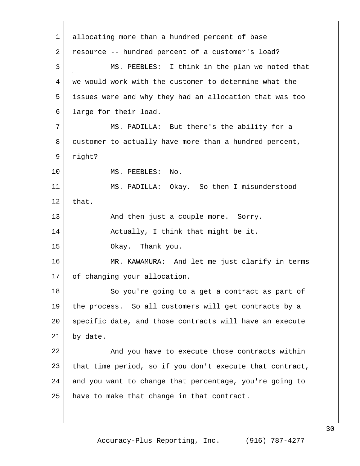1 allocating more than a hundred percent of base 2 resource -- hundred percent of a customer's load? 3 MS. PEEBLES: I think in the plan we noted that 4 we would work with the customer to determine what the 5 issues were and why they had an allocation that was too 6 large for their load. 7 | MS. PADILLA: But there's the ability for a 8 customer to actually have more than a hundred percent, 9 right? 10 MS. PEEBLES: No. 11 MS. PADILLA: Okay. So then I misunderstood  $12$  that. 13 | And then just a couple more. Sorry. 14 | Actually, I think that might be it. 15 Okay. Thank you. 16 MR. KAWAMURA: And let me just clarify in terms 17 of changing your allocation. 18 So you're going to a get a contract as part of 19 the process. So all customers will get contracts by a 20 specific date, and those contracts will have an execute 21 by date. 22 And you have to execute those contracts within 23 that time period, so if you don't execute that contract, 24 and you want to change that percentage, you're going to 25 | have to make that change in that contract.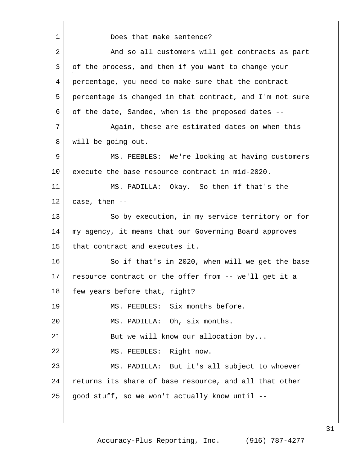1 Does that make sentence? 2 And so all customers will get contracts as part 3 of the process, and then if you want to change your 4 percentage, you need to make sure that the contract 5 percentage is changed in that contract, and I'm not sure 6 of the date, Sandee, when is the proposed dates -- 7 Again, these are estimated dates on when this 8 will be going out. 9 MS. PEEBLES: We're looking at having customers 10 execute the base resource contract in mid-2020. 11 MS. PADILLA: Okay. So then if that's the  $12$  case, then  $-$ 13 So by execution, in my service territory or for 14 my agency, it means that our Governing Board approves 15 that contract and executes it. 16 So if that's in 2020, when will we get the base 17 resource contract or the offer from -- we'll get it a 18 few years before that, right? 19 | MS. PEEBLES: Six months before. 20 MS. PADILLA: Oh, six months. 21 But we will know our allocation by... 22 MS. PEEBLES: Right now. 23 MS. PADILLA: But it's all subject to whoever 24 returns its share of base resource, and all that other  $25$  good stuff, so we won't actually know until --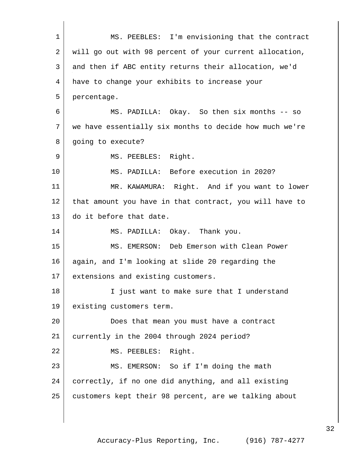MS. PEEBLES: I'm envisioning that the contract will go out with 98 percent of your current allocation, and then if ABC entity returns their allocation, we'd have to change your exhibits to increase your percentage. MS. PADILLA: Okay. So then six months -- so we have essentially six months to decide how much we're 8 going to execute? 9 MS. PEEBLES: Right. MS. PADILLA: Before execution in 2020? 11 | MR. KAWAMURA: Right. And if you want to lower that amount you have in that contract, you will have to do it before that date. MS. PADILLA: Okay. Thank you. MS. EMERSON: Deb Emerson with Clean Power 16 again, and I'm looking at slide 20 regarding the 17 extensions and existing customers. 18 I just want to make sure that I understand existing customers term. Does that mean you must have a contract currently in the 2004 through 2024 period? 22 MS. PEEBLES: Right. MS. EMERSON: So if I'm doing the math correctly, if no one did anything, and all existing customers kept their 98 percent, are we talking about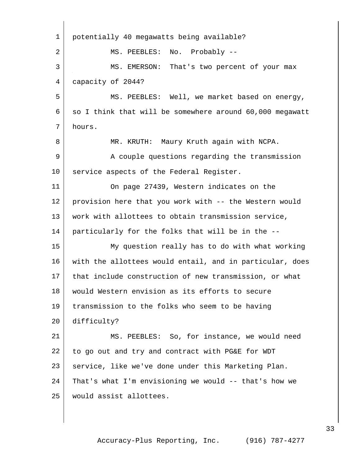| $\mathbf{1}$   | potentially 40 megawatts being available?                |
|----------------|----------------------------------------------------------|
| $\overline{2}$ | MS. PEEBLES: No. Probably --                             |
| 3              | MS. EMERSON: That's two percent of your max              |
| 4              | capacity of 2044?                                        |
| 5              | MS. PEEBLES: Well, we market based on energy,            |
| 6              | so I think that will be somewhere around 60,000 megawatt |
| 7              | hours.                                                   |
| 8              | MR. KRUTH: Maury Kruth again with NCPA.                  |
| 9              | A couple questions regarding the transmission            |
| 10             | service aspects of the Federal Register.                 |
| 11             | On page 27439, Western indicates on the                  |
| 12             | provision here that you work with -- the Western would   |
| 13             | work with allottees to obtain transmission service,      |
| 14             | particularly for the folks that will be in the --        |
| 15             | My question really has to do with what working           |
| 16             | with the allottees would entail, and in particular, does |
| 17             | that include construction of new transmission, or what   |
| 18             | would Western envision as its efforts to secure          |
| 19             | transmission to the folks who seem to be having          |
| 20             | difficulty?                                              |
| 21             | MS. PEEBLES: So, for instance, we would need             |
| 22             | to go out and try and contract with PG&E for WDT         |
| 23             | service, like we've done under this Marketing Plan.      |
| 24             | That's what I'm envisioning we would -- that's how we    |
| 25             | would assist allottees.                                  |
|                |                                                          |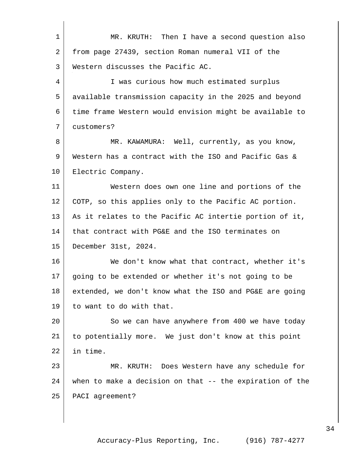| $\mathbf 1$ | MR. KRUTH: Then I have a second question also            |
|-------------|----------------------------------------------------------|
| 2           | from page 27439, section Roman numeral VII of the        |
| 3           | Western discusses the Pacific AC.                        |
| 4           | I was curious how much estimated surplus                 |
| 5           | available transmission capacity in the 2025 and beyond   |
| 6           | time frame Western would envision might be available to  |
| 7           | customers?                                               |
| 8           | MR. KAWAMURA: Well, currently, as you know,              |
| 9           | Western has a contract with the ISO and Pacific Gas &    |
| 10          | Electric Company.                                        |
| 11          | Western does own one line and portions of the            |
| 12          | COTP, so this applies only to the Pacific AC portion.    |
| 13          | As it relates to the Pacific AC intertie portion of it,  |
| 14          | that contract with PG&E and the ISO terminates on        |
| 15          | December 31st, 2024.                                     |
| 16          | We don't know what that contract, whether it's           |
| 17          | going to be extended or whether it's not going to be     |
| 18          | extended, we don't know what the ISO and PG&E are going  |
| 19          | to want to do with that.                                 |
| 20          | So we can have anywhere from 400 we have today           |
| 21          | to potentially more. We just don't know at this point    |
| 22          | in time.                                                 |
| 23          | MR. KRUTH: Does Western have any schedule for            |
| 24          | when to make a decision on that -- the expiration of the |
| 25          | PACI agreement?                                          |
|             |                                                          |
|             |                                                          |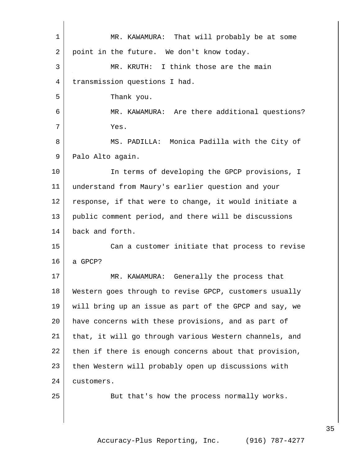| $\mathbf{1}$ | MR. KAWAMURA: That will probably be at some            |
|--------------|--------------------------------------------------------|
| 2            | point in the future. We don't know today.              |
| 3            | MR. KRUTH: I think those are the main                  |
| 4            | transmission questions I had.                          |
| 5            | Thank you.                                             |
| 6            | MR. KAWAMURA: Are there additional questions?          |
| 7            | Yes.                                                   |
| 8            | MS. PADILLA: Monica Padilla with the City of           |
| 9            | Palo Alto again.                                       |
| 10           | In terms of developing the GPCP provisions, I          |
| 11           | understand from Maury's earlier question and your      |
| 12           | response, if that were to change, it would initiate a  |
| 13           | public comment period, and there will be discussions   |
| 14           | back and forth.                                        |
| 15           | Can a customer initiate that process to revise         |
| 16           | a GPCP?                                                |
| 17           | MR. KAWAMURA: Generally the process that               |
| 18           | Western goes through to revise GPCP, customers usually |
| 19           | will bring up an issue as part of the GPCP and say, we |
| 20           | have concerns with these provisions, and as part of    |
| 21           | that, it will go through various Western channels, and |
| 22           | then if there is enough concerns about that provision, |
| 23           | then Western will probably open up discussions with    |
| 24           | customers.                                             |
| 25           | But that's how the process normally works.             |
|              |                                                        |
|              |                                                        |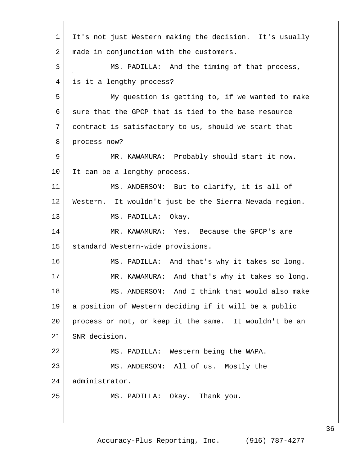| $\mathbf 1$ | It's not just Western making the decision. It's usually |
|-------------|---------------------------------------------------------|
| 2           | made in conjunction with the customers.                 |
| 3           | MS. PADILLA: And the timing of that process,            |
| 4           | is it a lengthy process?                                |
| 5           | My question is getting to, if we wanted to make         |
| 6           | sure that the GPCP that is tied to the base resource    |
| 7           | contract is satisfactory to us, should we start that    |
| 8           | process now?                                            |
| 9           | MR. KAWAMURA: Probably should start it now.             |
| 10          | It can be a lengthy process.                            |
| 11          | MS. ANDERSON: But to clarify, it is all of              |
| 12          | Western. It wouldn't just be the Sierra Nevada region.  |
| 13          | MS. PADILLA: Okay.                                      |
| 14          | MR. KAWAMURA: Yes. Because the GPCP's are               |
| 15          | standard Western-wide provisions.                       |
| 16          | MS. PADILLA: And that's why it takes so long.           |
| 17          | MR. KAWAMURA: And that's why it takes so long.          |
| 18          | MS. ANDERSON: And I think that would also make          |
| 19          | a position of Western deciding if it will be a public   |
| 20          | process or not, or keep it the same. It wouldn't be an  |
| 21          | SNR decision.                                           |
| 22          | MS. PADILLA: Western being the WAPA.                    |
| 23          | MS. ANDERSON: All of us. Mostly the                     |
| 24          | administrator.                                          |
| 25          | MS. PADILLA: Okay. Thank you.                           |
|             |                                                         |

Accuracy-Plus Reporting, Inc. (916) 787-4277

 $\mathsf{l}$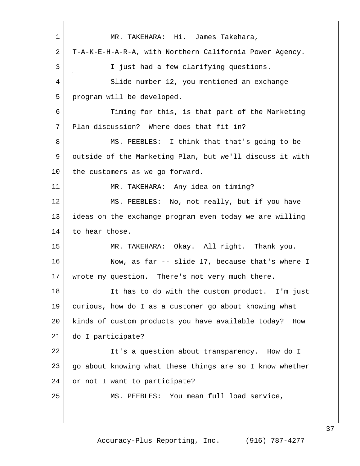| 1  | MR. TAKEHARA: Hi. James Takehara,                        |
|----|----------------------------------------------------------|
| 2  | T-A-K-E-H-A-R-A, with Northern California Power Agency.  |
| 3  | I just had a few clarifying questions.                   |
| 4  | Slide number 12, you mentioned an exchange               |
| 5  | program will be developed.                               |
| 6  | Timing for this, is that part of the Marketing           |
| 7  | Plan discussion? Where does that fit in?                 |
| 8  | MS. PEEBLES: I think that that's going to be             |
| 9  | outside of the Marketing Plan, but we'll discuss it with |
| 10 | the customers as we go forward.                          |
| 11 | MR. TAKEHARA: Any idea on timing?                        |
| 12 | MS. PEEBLES: No, not really, but if you have             |
| 13 | ideas on the exchange program even today we are willing  |
| 14 | to hear those.                                           |
| 15 | MR. TAKEHARA: Okay. All right. Thank you.                |
| 16 | Now, as far -- slide 17, because that's where I          |
| 17 | wrote my question. There's not very much there.          |
| 18 | It has to do with the custom product. I'm just           |
| 19 | curious, how do I as a customer go about knowing what    |
| 20 | kinds of custom products you have available today? How   |
| 21 | do I participate?                                        |
| 22 | It's a question about transparency. How do I             |
| 23 | go about knowing what these things are so I know whether |
| 24 | or not I want to participate?                            |
| 25 | MS. PEEBLES: You mean full load service,                 |
|    |                                                          |
|    |                                                          |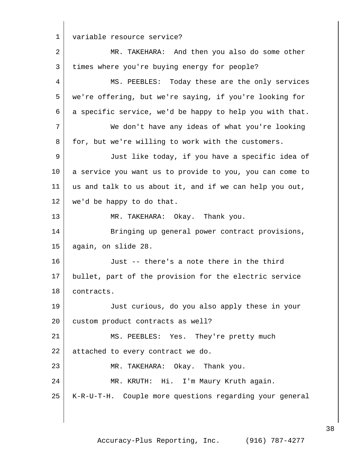1 variable resource service?

| $\sqrt{2}$   | MR. TAKEHARA: And then you also do some other            |
|--------------|----------------------------------------------------------|
| $\mathbf{3}$ | times where you're buying energy for people?             |
| 4            | MS. PEEBLES: Today these are the only services           |
| 5            | we're offering, but we're saying, if you're looking for  |
| 6            | a specific service, we'd be happy to help you with that. |
| 7            | We don't have any ideas of what you're looking           |
| 8            | for, but we're willing to work with the customers.       |
| 9            | Just like today, if you have a specific idea of          |
| 10           | a service you want us to provide to you, you can come to |
| 11           | us and talk to us about it, and if we can help you out,  |
| 12           | we'd be happy to do that.                                |
| 13           | MR. TAKEHARA: Okay. Thank you.                           |
| 14           | Bringing up general power contract provisions,           |
| 15           | again, on slide 28.                                      |
| 16           | Just -- there's a note there in the third                |
| 17           | bullet, part of the provision for the electric service   |
| 18           | contracts.                                               |
| 19           | Just curious, do you also apply these in your            |
| 20           | custom product contracts as well?                        |
| 21           | MS. PEEBLES: Yes. They're pretty much                    |
| 22           | attached to every contract we do.                        |
| 23           | MR. TAKEHARA: Okay. Thank you.                           |
| 24           | MR. KRUTH: Hi. I'm Maury Kruth again.                    |
| 25           | K-R-U-T-H. Couple more questions regarding your general  |
|              |                                                          |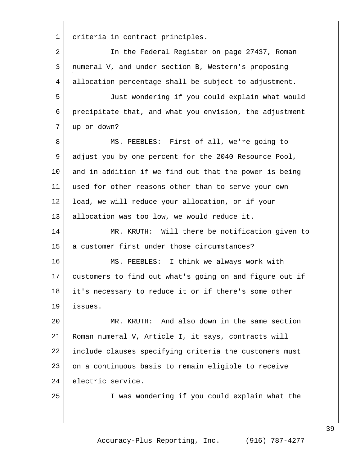criteria in contract principles. 2 In the Federal Register on page 27437, Roman numeral V, and under section B, Western's proposing allocation percentage shall be subject to adjustment. Just wondering if you could explain what would precipitate that, and what you envision, the adjustment up or down? 8 MS. PEEBLES: First of all, we're going to adjust you by one percent for the 2040 Resource Pool, 10 and in addition if we find out that the power is being used for other reasons other than to serve your own load, we will reduce your allocation, or if your 13 allocation was too low, we would reduce it. MR. KRUTH: Will there be notification given to a customer first under those circumstances? MS. PEEBLES: I think we always work with customers to find out what's going on and figure out if it's necessary to reduce it or if there's some other issues. MR. KRUTH: And also down in the same section Roman numeral V, Article I, it says, contracts will include clauses specifying criteria the customers must 23 on a continuous basis to remain eligible to receive electric service. I was wondering if you could explain what the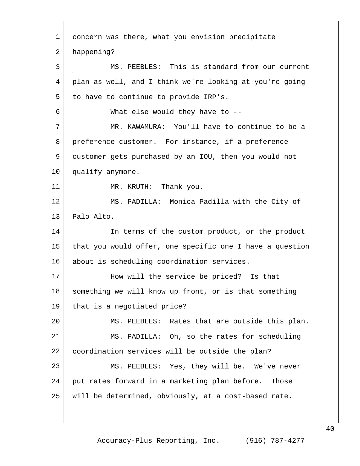| 1  | concern was there, what you envision precipitate         |
|----|----------------------------------------------------------|
| 2  | happening?                                               |
| 3  | MS. PEEBLES: This is standard from our current           |
| 4  | plan as well, and I think we're looking at you're going  |
| 5  | to have to continue to provide IRP's.                    |
| 6  | What else would they have to $-$ -                       |
| 7  | MR. KAWAMURA: You'll have to continue to be a            |
| 8  | preference customer. For instance, if a preference       |
| 9  | customer gets purchased by an IOU, then you would not    |
| 10 | qualify anymore.                                         |
| 11 | MR. KRUTH: Thank you.                                    |
| 12 | MS. PADILLA: Monica Padilla with the City of             |
| 13 | Palo Alto.                                               |
| 14 | In terms of the custom product, or the product           |
| 15 | that you would offer, one specific one I have a question |
| 16 | about is scheduling coordination services.               |
| 17 | How will the service be priced? Is that                  |
| 18 | something we will know up front, or is that something    |
| 19 | that is a negotiated price?                              |
| 20 | MS. PEEBLES: Rates that are outside this plan.           |
| 21 | MS. PADILLA: Oh, so the rates for scheduling             |
| 22 | coordination services will be outside the plan?          |
| 23 | MS. PEEBLES: Yes, they will be. We've never              |
| 24 | put rates forward in a marketing plan before. Those      |
| 25 | will be determined, obviously, at a cost-based rate.     |
|    |                                                          |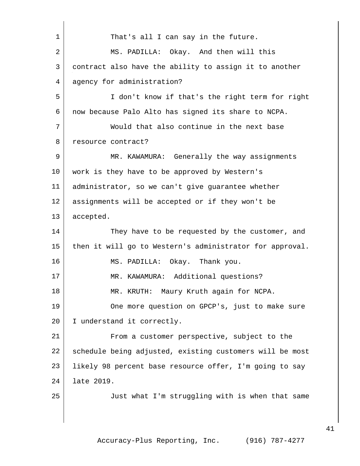| $\mathbf{1}$   | That's all I can say in the future.                      |
|----------------|----------------------------------------------------------|
| $\overline{a}$ | MS. PADILLA: Okay. And then will this                    |
| 3              | contract also have the ability to assign it to another   |
| 4              | agency for administration?                               |
| 5              | I don't know if that's the right term for right          |
| 6              | now because Palo Alto has signed its share to NCPA.      |
| 7              | Would that also continue in the next base                |
| 8              | resource contract?                                       |
| 9              | MR. KAWAMURA: Generally the way assignments              |
| 10             | work is they have to be approved by Western's            |
| 11             | administrator, so we can't give quarantee whether        |
| 12             | assignments will be accepted or if they won't be         |
| 13             | accepted.                                                |
| 14             | They have to be requested by the customer, and           |
| 15             | then it will go to Western's administrator for approval. |
| 16             | MS. PADILLA: Okay. Thank you.                            |
| 17             | MR. KAWAMURA: Additional questions?                      |
| 18             | MR. KRUTH: Maury Kruth again for NCPA.                   |
| 19             | One more question on GPCP's, just to make sure           |
| 20             | I understand it correctly.                               |
| 21             | From a customer perspective, subject to the              |
| 22             | schedule being adjusted, existing customers will be most |
| 23             | likely 98 percent base resource offer, I'm going to say  |
| 24             | late 2019.                                               |
| 25             | Just what I'm struggling with is when that same          |
|                |                                                          |
|                |                                                          |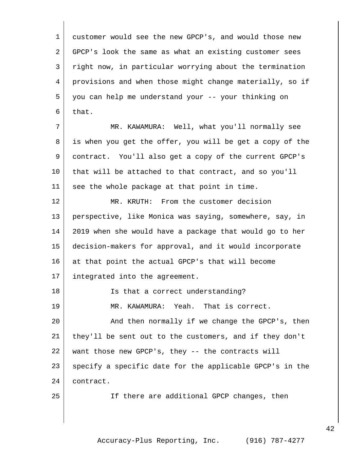customer would see the new GPCP's, and would those new GPCP's look the same as what an existing customer sees right now, in particular worrying about the termination provisions and when those might change materially, so if you can help me understand your -- your thinking on that. MR. KAWAMURA: Well, what you'll normally see is when you get the offer, you will be get a copy of the contract. You'll also get a copy of the current GPCP's 10 that will be attached to that contract, and so you'll see the whole package at that point in time. MR. KRUTH: From the customer decision perspective, like Monica was saying, somewhere, say, in 2019 when she would have a package that would go to her decision-makers for approval, and it would incorporate 16 at that point the actual GPCP's that will become integrated into the agreement. 18 | Is that a correct understanding? MR. KAWAMURA: Yeah. That is correct. 20 And then normally if we change the GPCP's, then they'll be sent out to the customers, and if they don't want those new GPCP's, they -- the contracts will 23 specify a specific date for the applicable GPCP's in the contract. If there are additional GPCP changes, then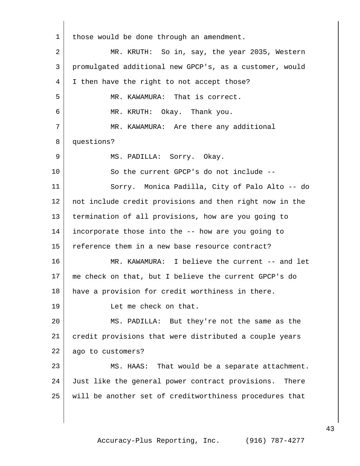1 | those would be done through an amendment. MR. KRUTH: So in, say, the year 2035, Western promulgated additional new GPCP's, as a customer, would 4 I then have the right to not accept those? 5 MR. KAWAMURA: That is correct. MR. KRUTH: Okay. Thank you. 7 MR. KAWAMURA: Are there any additional questions? 9 MS. PADILLA: Sorry. Okay. 10 So the current GPCP's do not include -- Sorry. Monica Padilla, City of Palo Alto -- do not include credit provisions and then right now in the termination of all provisions, how are you going to incorporate those into the -- how are you going to reference them in a new base resource contract? 16 MR. KAWAMURA: I believe the current -- and let me check on that, but I believe the current GPCP's do have a provision for credit worthiness in there. Let me check on that. MS. PADILLA: But they're not the same as the credit provisions that were distributed a couple years ago to customers? 23 MS. HAAS: That would be a separate attachment. Just like the general power contract provisions. There will be another set of creditworthiness procedures that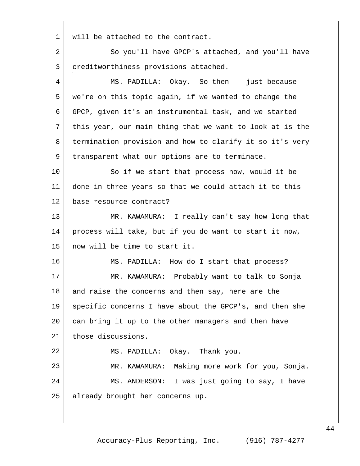will be attached to the contract.

2 So you'll have GPCP's attached, and you'll have creditworthiness provisions attached. MS. PADILLA: Okay. So then -- just because we're on this topic again, if we wanted to change the GPCP, given it's an instrumental task, and we started this year, our main thing that we want to look at is the termination provision and how to clarify it so it's very 9 | transparent what our options are to terminate. 10 | So if we start that process now, would it be done in three years so that we could attach it to this base resource contract? MR. KAWAMURA: I really can't say how long that process will take, but if you do want to start it now, now will be time to start it. MS. PADILLA: How do I start that process? MR. KAWAMURA: Probably want to talk to Sonja 18 and raise the concerns and then say, here are the specific concerns I have about the GPCP's, and then she 20 can bring it up to the other managers and then have 21 those discussions. MS. PADILLA: Okay. Thank you. MR. KAWAMURA: Making more work for you, Sonja. 24 MS. ANDERSON: I was just going to say, I have already brought her concerns up.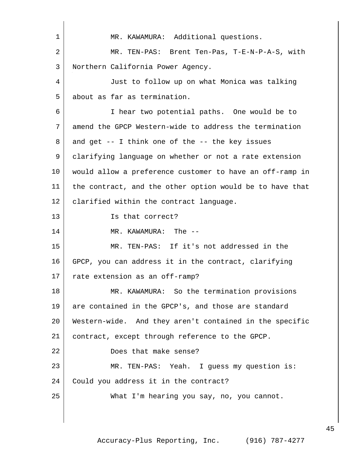1 | MR. KAWAMURA: Additional questions. MR. TEN-PAS: Brent Ten-Pas, T-E-N-P-A-S, with Northern California Power Agency. Just to follow up on what Monica was talking about as far as termination. I hear two potential paths. One would be to amend the GPCP Western-wide to address the termination and get  $-$  I think one of the  $-$  the key issues clarifying language on whether or not a rate extension would allow a preference customer to have an off-ramp in the contract, and the other option would be to have that 12 | clarified within the contract language. Is that correct? 14 MR. KAWAMURA: The -- MR. TEN-PAS: If it's not addressed in the GPCP, you can address it in the contract, clarifying rate extension as an off-ramp? 18 MR. KAWAMURA: So the termination provisions are contained in the GPCP's, and those are standard Western-wide. And they aren't contained in the specific 21 | contract, except through reference to the GPCP. 22 Does that make sense? MR. TEN-PAS: Yeah. I guess my question is: 24 | Could you address it in the contract? What I'm hearing you say, no, you cannot.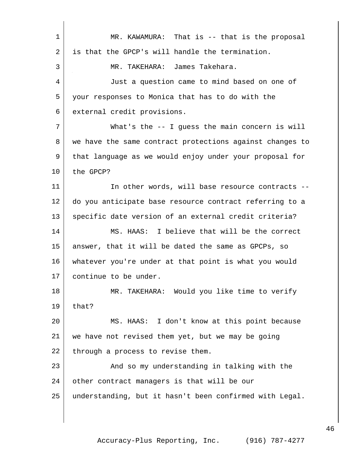MR. KAWAMURA: That is -- that is the proposal 2 is that the GPCP's will handle the termination. MR. TAKEHARA: James Takehara. Just a question came to mind based on one of your responses to Monica that has to do with the external credit provisions. What's the -- I guess the main concern is will we have the same contract protections against changes to that language as we would enjoy under your proposal for the GPCP? 11 In other words, will base resource contracts -- do you anticipate base resource contract referring to a 13 specific date version of an external credit criteria? MS. HAAS: I believe that will be the correct answer, that it will be dated the same as GPCPs, so whatever you're under at that point is what you would continue to be under. MR. TAKEHARA: Would you like time to verify that? MS. HAAS: I don't know at this point because we have not revised them yet, but we may be going 22 through a process to revise them. 23 | And so my understanding in talking with the 24 other contract managers is that will be our understanding, but it hasn't been confirmed with Legal.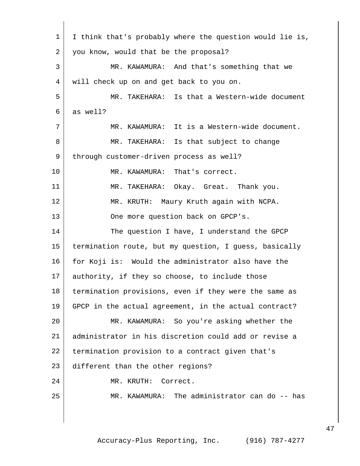| 1  | I think that's probably where the question would lie is, |
|----|----------------------------------------------------------|
| 2  | you know, would that be the proposal?                    |
| 3  | MR. KAWAMURA: And that's something that we               |
| 4  | will check up on and get back to you on.                 |
| 5  | MR. TAKEHARA: Is that a Western-wide document            |
| 6  | as well?                                                 |
| 7  | MR. KAWAMURA: It is a Western-wide document.             |
| 8  | MR. TAKEHARA: Is that subject to change                  |
| 9  | through customer-driven process as well?                 |
| 10 | MR. KAWAMURA: That's correct.                            |
| 11 | MR. TAKEHARA: Okay. Great. Thank you.                    |
| 12 | MR. KRUTH: Maury Kruth again with NCPA.                  |
| 13 | One more question back on GPCP's.                        |
| 14 | The question I have, I understand the GPCP               |
| 15 | termination route, but my question, I guess, basically   |
| 16 | for Koji is: Would the administrator also have the       |
| 17 | authority, if they so choose, to include those           |
| 18 | termination provisions, even if they were the same as    |
| 19 | GPCP in the actual agreement, in the actual contract?    |
| 20 | MR. KAWAMURA: So you're asking whether the               |
| 21 | administrator in his discretion could add or revise a    |
| 22 | termination provision to a contract given that's         |
| 23 | different than the other regions?                        |
| 24 | MR. KRUTH: Correct.                                      |
| 25 | MR. KAWAMURA: The administrator can do -- has            |
|    |                                                          |
|    |                                                          |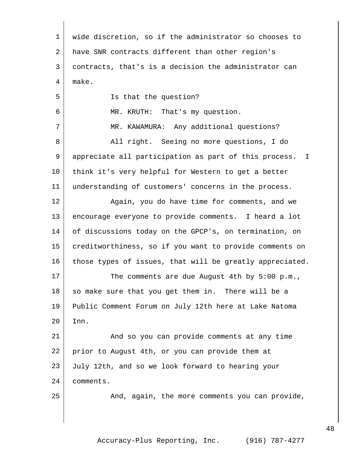| $\mathbf 1$ | wide discretion, so if the administrator so chooses to   |
|-------------|----------------------------------------------------------|
| 2           | have SNR contracts different than other region's         |
| 3           | contracts, that's is a decision the administrator can    |
| 4           | make.                                                    |
| 5           | Is that the question?                                    |
| 6           | MR. KRUTH: That's my question.                           |
| 7           | MR. KAWAMURA: Any additional questions?                  |
| 8           | All right. Seeing no more questions, I do                |
| 9           | appreciate all participation as part of this process. I  |
| 10          | think it's very helpful for Western to get a better      |
| 11          | understanding of customers' concerns in the process.     |
| 12          | Again, you do have time for comments, and we             |
| 13          | encourage everyone to provide comments. I heard a lot    |
| 14          | of discussions today on the GPCP's, on termination, on   |
| 15          | creditworthiness, so if you want to provide comments on  |
| 16          | those types of issues, that will be greatly appreciated. |
| 17          | The comments are due August 4th by 5:00 p.m.,            |
| 18          | so make sure that you get them in. There will be a       |
| 19          | Public Comment Forum on July 12th here at Lake Natoma    |
| 20          | Inn.                                                     |
| 21          | And so you can provide comments at any time              |
| 22          | prior to August 4th, or you can provide them at          |
| 23          | July 12th, and so we look forward to hearing your        |
| 24          | comments.                                                |
| 25          | And, again, the more comments you can provide,           |
|             |                                                          |
|             |                                                          |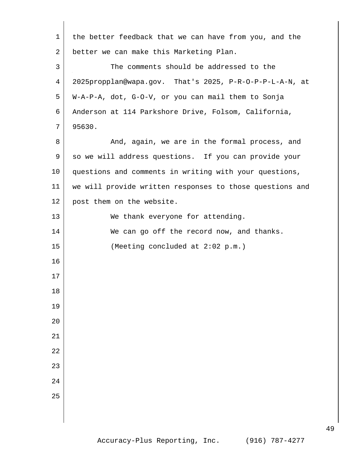| $\mathbf 1$ | the better feedback that we can have from you, and the   |
|-------------|----------------------------------------------------------|
| 2           | better we can make this Marketing Plan.                  |
| 3           | The comments should be addressed to the                  |
| 4           | 2025propplan@wapa.gov. That's 2025, P-R-O-P-P-L-A-N, at  |
| 5           | W-A-P-A, dot, G-O-V, or you can mail them to Sonja       |
| 6           | Anderson at 114 Parkshore Drive, Folsom, California,     |
| 7           | 95630.                                                   |
| 8           | And, again, we are in the formal process, and            |
| 9           | so we will address questions. If you can provide your    |
| 10          | questions and comments in writing with your questions,   |
| 11          | we will provide written responses to those questions and |
| 12          | post them on the website.                                |
| 13          | We thank everyone for attending.                         |
| 14          | We can go off the record now, and thanks.                |
| 15          | (Meeting concluded at 2:02 p.m.)                         |
| 16          |                                                          |
| 17          |                                                          |
| 18          |                                                          |
| 19          |                                                          |
| 20          |                                                          |
| 21          |                                                          |
| 22          |                                                          |
| 23          |                                                          |
| 24          |                                                          |
| 25          |                                                          |
|             |                                                          |
|             |                                                          |